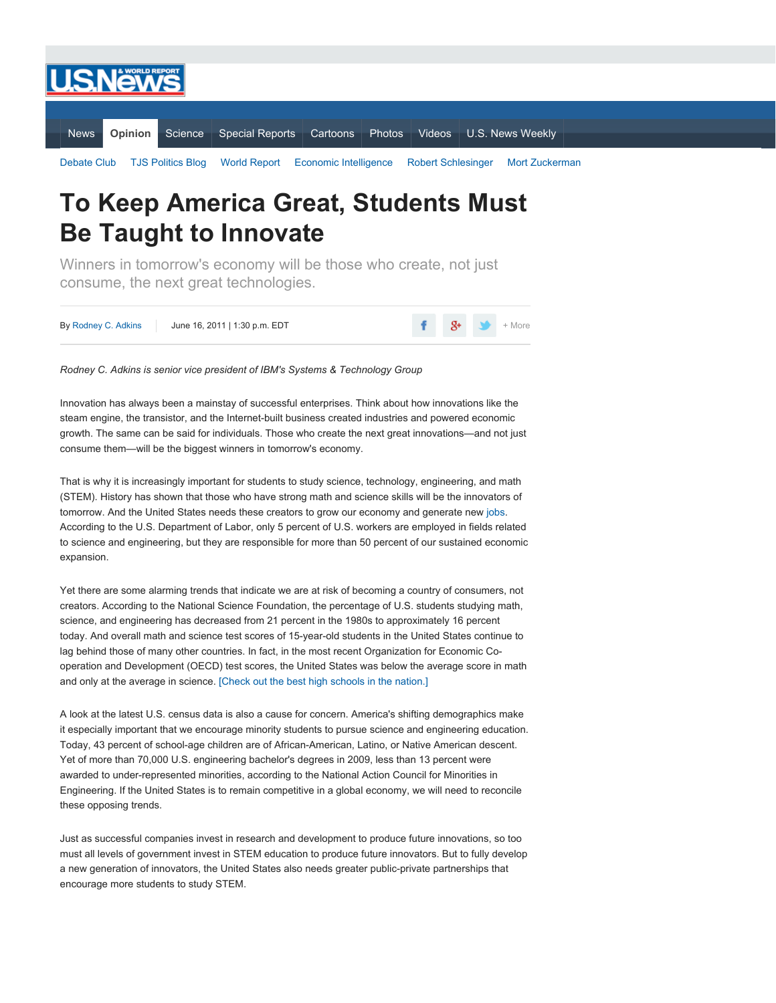

## **To Keep America Great, Students Must Be Taught to Innovate**

Winners in tomorrow's economy will be those who create, not just consume, the next great technologies.

| By Rodney C. Adkins | June 16, 2011   1:30 p.m. EDT |  | $\frac{4}{5}$ $\frac{1}{5}$ $\frac{1}{5}$ + More |
|---------------------|-------------------------------|--|--------------------------------------------------|
|                     |                               |  |                                                  |

## *Rodney C. Adkins is senior vice president of IBM's Systems & Technology Group*

Innovation has always been a mainstay of successful enterprises. Think about how innovations like the steam engine, the transistor, and the Internet-built business created industries and powered economic growth. The same can be said for individuals. Those who create the next great innovations—and not just consume them—will be the biggest winners in tomorrow's economy.

That is why it is increasingly important for students to study science, technology, engineering, and math (STEM). History has shown that those who have strong math and science skills will be the innovators of tomorrow. And the United States needs these creators to grow our economy and generate new [jobs.](http://politics.usnews.com/topics/subjects/unemployment) According to the U.S. Department of Labor, only 5 percent of U.S. workers are employed in fields related to science and engineering, but they are responsible for more than 50 percent of our sustained economic expansion.

Yet there are some alarming trends that indicate we are at risk of becoming a country of consumers, not creators. According to the National Science Foundation, the percentage of U.S. students studying math, science, and engineering has decreased from 21 percent in the 1980s to approximately 16 percent today. And overall math and science test scores of 15-year-old students in the United States continue to lag behind those of many other countries. In fact, in the most recent Organization for Economic Cooperation and Development (OECD) test scores, the United States was below the average score in math and only at the average in science. [Check out the best high [schools](http://education.usnews.rankingsandreviews.com/education/high-schools) in the nation.]

A look at the latest U.S. census data is also a cause for concern. America's shifting demographics make it especially important that we encourage minority students to pursue science and engineering education. Today, 43 percent of school-age children are of African-American, Latino, or Native American descent. Yet of more than 70,000 U.S. engineering bachelor's degrees in 2009, less than 13 percent were awarded to under-represented minorities, according to the National Action Council for Minorities in Engineering. If the United States is to remain competitive in a global economy, we will need to reconcile these opposing trends.

Just as successful companies invest in research and development to produce future innovations, so too must all levels of government invest in STEM education to produce future innovators. But to fully develop a new generation of innovators, the United States also needs greater public-private partnerships that encourage more students to study STEM.